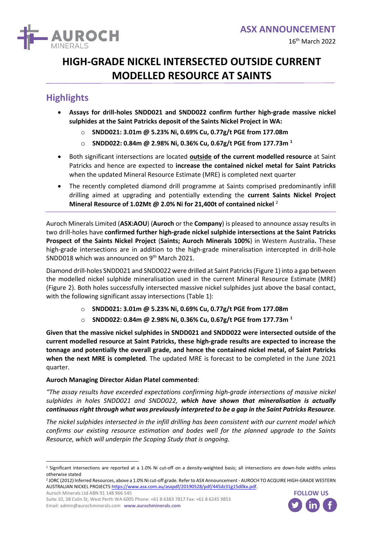

## **HIGH-GRADE NICKEL INTERSECTED OUTSIDE CURRENT MODELLED RESOURCE AT SAINTS**

## **Highlights**

- **Assays for drill-holes SNDD021 and SNDD022 confirm further high-grade massive nickel sulphides at the Saint Patricks deposit of the Saints Nickel Project in WA:**
	- o **SNDD021: 3.01m @ 5.23% Ni, 0.69% Cu, 0.77g/t PGE from 177.08m**
	- o **SNDD022: 0.84m @ 2.98% Ni, 0.36% Cu, 0.67g/t PGE from 177.73m <sup>1</sup>**
- Both significant intersections are located **outside of the current modelled resource** at Saint Patricks and hence are expected to **increase the contained nickel metal for Saint Patricks** when the updated Mineral Resource Estimate (MRE) is completed next quarter
- The recently completed diamond drill programme at Saints comprised predominantly infill drilling aimed at upgrading and potentially extending the **current Saints Nickel Project Mineral Resource of 1.02Mt @ 2.0% Ni for 21,400t of contained nickel** <sup>2</sup>

Auroch Minerals Limited (**ASX:AOU**) (**Auroch** or the **Company**) is pleased to announce assay results in two drill-holes have **confirmed further high-grade nickel sulphide intersections at the Saint Patricks Prospect of the Saints Nickel Project** (**Saints; Auroch Minerals 100%**) in Western Australia**.** These high-grade intersections are in addition to the high-grade mineralisation intercepted in drill-hole SNDD018 which was announced on 9<sup>th</sup> March 2021.

Diamond drill-holes SNDD021 and SNDD022 were drilled at Saint Patricks (Figure 1) into a gap between the modelled nickel sulphide mineralisation used in the current Mineral Resource Estimate (MRE) (Figure 2). Both holes successfully intersected massive nickel sulphides just above the basal contact, with the following significant assay intersections (Table 1):

- o **SNDD021: 3.01m @ 5.23% Ni, 0.69% Cu, 0.77g/t PGE from 177.08m**
- o **SNDD022: 0.84m @ 2.98% Ni, 0.36% Cu, 0.67g/t PGE from 177.73m <sup>1</sup>**

**Given that the massive nickel sulphides in SNDD021 and SNDD022 were intersected outside of the current modelled resource at Saint Patricks, these high-grade results are expected to increase the tonnage and potentially the overall grade, and hence the contained nickel metal, of Saint Patricks when the next MRE is completed**. The updated MRE is forecast to be completed in the June 2021 quarter.

#### **Auroch Managing Director Aidan Platel commented**:

*"The assay results have exceeded expectations confirming high-grade intersections of massive nickel sulphides in holes SNDD021 and SNDD022, which have shown that mineralisation is actually continuous right through what was previously interpreted to be a gap in the Saint Patricks Resource.*

*The nickel sulphides intersected in the infill drilling has been consistent with our current model which confirms our existing resource estimation and bodes well for the planned upgrade to the Saints Resource, which will underpin the Scoping Study that is ongoing.* The filther surprimes intersected in the injini drilling has been consistent wire confirms our existing resource estimation and bodes well for the plan.<br>Resource, which will underpin the Scoping Study that is ongoing.<br>The

Auroch Minerals Ltd ABN 91 148 966 545



 $1$  Significant intersections are reported at a 1.0% Ni cut-off on a density-weighted basis; all intersections are down-hole widths unless otherwise stated

<sup>2</sup> JORC (2012) Inferred Resources, above a 1.0% Ni cut-off grade. Refer to ASX Announcement - AUROCH TO ACQUIRE HIGH-GRADE WESTERN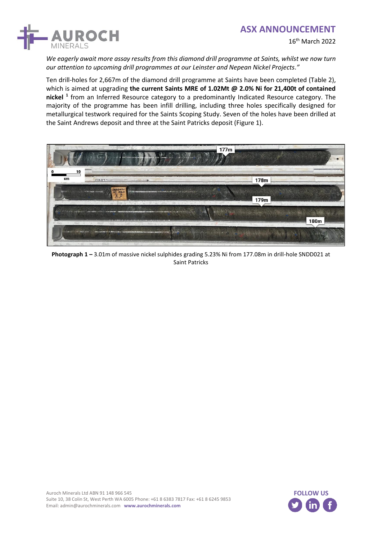

16th March 2022

*We eagerly await more assay results from this diamond drill programme at Saints, whilst we now turn our attention to upcoming drill programmes at our Leinster and Nepean Nickel Projects."*

Ten drill-holes for 2,667m of the diamond drill programme at Saints have been completed (Table 2), which is aimed at upgrading **the current Saints MRE of 1.02Mt @ 2.0% Ni for 21,400t of contained nickel <sup>1</sup>** from an Inferred Resource category to a predominantly Indicated Resource category. The majority of the programme has been infill drilling, including three holes specifically designed for metallurgical testwork required for the Saints Scoping Study. Seven of the holes have been drilled at the Saint Andrews deposit and three at the Saint Patricks deposit (Figure 1).



**Photograph 1 –** 3.01m of massive nickel sulphides grading 5.23% Ni from 177.08m in drill-hole SNDD021 at Saint Patricks

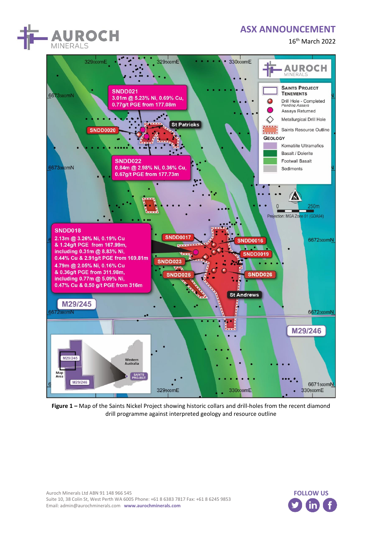

16th March 2022



**Figure 1 –** Map of the Saints Nickel Project showing historic collars and drill-holes from the recent diamond drill programme against interpreted geology and resource outline

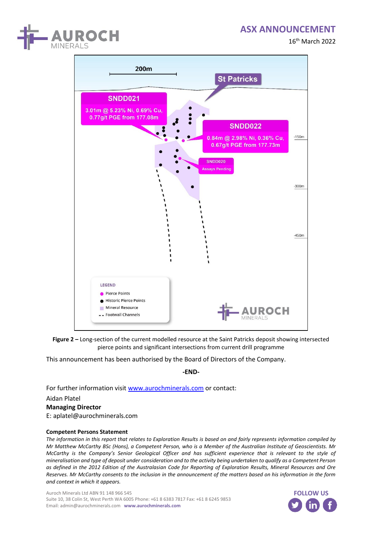





**Figure 2 –** Long-section of the current modelled resource at the Saint Patricks deposit showing intersected pierce points and significant intersections from current drill programme

This announcement has been authorised by the Board of Directors of the Company.

**-END-**

For further information visi[t www.aurochminerals.com](http://www.aurochminerals.com/) or contact:

Aidan Platel

**Managing Director** E: aplatel@aurochminerals.com

#### **Competent Persons Statement**

*The information in this report that relates to Exploration Results is based on and fairly represents information compiled by Mr Matthew McCarthy BSc (Hons), a Competent Person, who is a Member of the Australian Institute of Geoscientists. Mr McCarthy is the Company's Senior Geological Officer and has sufficient experience that is relevant to the style of mineralisation and type of deposit under consideration and to the activity being undertaken to qualify as a Competent Person as defined in the 2012 Edition of the Australasian Code for Reporting of Exploration Results, Mineral Resources and Ore Reserves. Mr McCarthy consents to the inclusion in the announcement of the matters based on his information in the form*  **Competent Persons Stateme**<br>*The information in this report ti*<br>*Mr Matthew McCarthy BSc (Ho<br>McCarthy is the Company's S<br>mineralisation and type of depoids as defined in the 2012 Edition<br>Reserves. Mr McCarthy consent<br>and c* 

Auroch Minerals Ltd ABN 91 148 966 545 Suite 10, 38 Colin St, West Perth WA 6005 Phone: +61 8 6383 7817 Fax: +61 8 6245 9853 Email: admin@aurochminerals.com **www.aurochminerals.com**

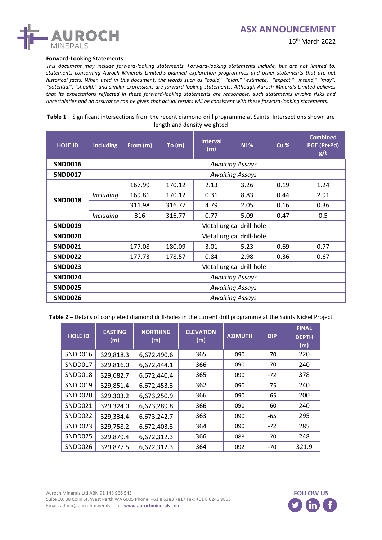

#### **Forward-Looking Statements**

*This document may include forward-looking statements. Forward-looking statements include, but are not limited to, statements concerning Auroch Minerals Limited's planned exploration programmes and other statements that are not historical facts. When used in this document, the words such as "could," "plan," "estimate," "expect," "intend," "may", "potential", "should," and similar expressions are forward-looking statements. Although Auroch Minerals Limited believes that its expectations reflected in these forward-looking statements are reasonable, such statements involve risks and uncertainties and no assurance can be given that actual results will be consistent with these forward-looking statements.*

**Table 1 –** Significant intersections from the recent diamond drill programme at Saints. Intersections shown are length and density weighted

| <b>HOLE ID</b> | <b>Including</b> | From (m)                 | To (m) | <b>Interval</b><br>(m) | <b>Ni %</b> | Cu % | <b>Combined</b><br>PGE (Pt+Pd)<br>g/t |
|----------------|------------------|--------------------------|--------|------------------------|-------------|------|---------------------------------------|
| <b>SNDD016</b> |                  | <b>Awaiting Assays</b>   |        |                        |             |      |                                       |
| SNDD017        |                  | <b>Awaiting Assays</b>   |        |                        |             |      |                                       |
|                |                  | 167.99                   | 170.12 | 2.13                   | 3.26        | 0.19 | 1.24                                  |
| <b>SNDD018</b> | Including        | 169.81                   | 170.12 | 0.31                   | 8.83        | 0.44 | 2.91                                  |
|                |                  | 311.98                   | 316.77 | 4.79                   | 2.05        | 0.16 | 0.36                                  |
|                | Including        | 316                      | 316.77 | 0.77                   | 5.09        | 0.47 | 0.5                                   |
| <b>SNDD019</b> |                  | Metallurgical drill-hole |        |                        |             |      |                                       |
| SNDD020        |                  | Metallurgical drill-hole |        |                        |             |      |                                       |
| SNDD021        |                  | 177.08                   | 180.09 | 3.01                   | 5.23        | 0.69 | 0.77                                  |
| <b>SNDD022</b> |                  | 177.73                   | 178.57 | 0.84                   | 2.98        | 0.36 | 0.67                                  |
| SNDD023        |                  | Metallurgical drill-hole |        |                        |             |      |                                       |
| SNDD024        |                  | <b>Awaiting Assays</b>   |        |                        |             |      |                                       |
| <b>SNDD025</b> |                  | <b>Awaiting Assays</b>   |        |                        |             |      |                                       |
| <b>SNDD026</b> |                  | <b>Awaiting Assays</b>   |        |                        |             |      |                                       |

**Table 2 –** Details of completed diamond drill-holes in the current drill programme at the Saints Nickel Project

| <b>HOLE ID</b> | <b>EASTING</b><br>(m) | <b>NORTHING</b><br>(m) | <b>ELEVATION</b><br>(m) | <b>AZIMUTH</b> | <b>DIP</b> | <b>FINAL</b><br><b>DEPTH</b><br>(m) |
|----------------|-----------------------|------------------------|-------------------------|----------------|------------|-------------------------------------|
| <b>SNDD016</b> | 329,818.3             | 6,672,490.6            | 365                     | 090            | $-70$      | 220                                 |
| <b>SNDD017</b> | 329,816.0             | 6,672,444.1            | 366                     | 090            | $-70$      | 240                                 |
| <b>SNDD018</b> | 329,682.7             | 6,672,440.4            | 365                     | 090            | $-72$      | 378                                 |
| SNDD019        | 329,851.4             | 6,672,453.3            | 362                     | 090            | $-75$      | 240                                 |
| <b>SNDD020</b> | 329,303.2             | 6,673,250.9            | 366                     | 090            | $-65$      | 200                                 |
| SNDD021        | 329,324.0             | 6,673,289.8            | 366                     | 090            | -60        | 240                                 |
| SNDD022        | 329,334.4             | 6,673,242.7            | 363                     | 090            | $-65$      | 295                                 |
| SNDD023        | 329,758.2             | 6,672,403.3            | 364                     | 090            | $-72$      | 285                                 |
| SNDD025        | 329,879.4             | 6,672,312.3            | 366                     | 088            | $-70$      | 248                                 |
| SNDD026        | 329,877.5             | 6,672,312.3            | 364                     | 092            | $-70$      | 321.9                               |

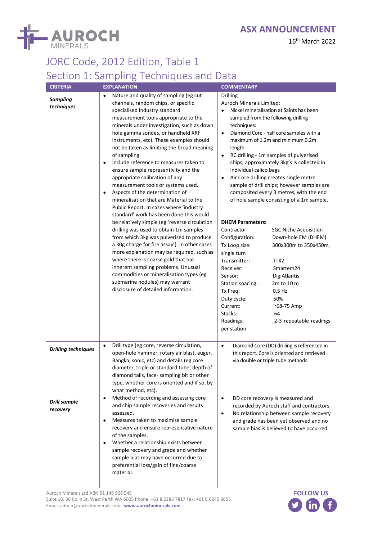

16th March 2022

## JORC Code, 2012 Edition, Table 1 Section 1: Sampling Techniques and Data

| <b>CRITERIA</b>                 | <b>EXPLANATION</b>                                                                                                                                                                                                                                                                                                                                                                                                                                                                                                                                                                                                                                                                                                                                                                                                                                                                                                                                                                                                                                                                                                                                               | <b>COMMENTARY</b>                                                                                                                                                                                                                                                                                                                                                                                                                                                                                                                                                                                                                                                                                                                                                                                                                                                                                                                                                                                                      |
|---------------------------------|------------------------------------------------------------------------------------------------------------------------------------------------------------------------------------------------------------------------------------------------------------------------------------------------------------------------------------------------------------------------------------------------------------------------------------------------------------------------------------------------------------------------------------------------------------------------------------------------------------------------------------------------------------------------------------------------------------------------------------------------------------------------------------------------------------------------------------------------------------------------------------------------------------------------------------------------------------------------------------------------------------------------------------------------------------------------------------------------------------------------------------------------------------------|------------------------------------------------------------------------------------------------------------------------------------------------------------------------------------------------------------------------------------------------------------------------------------------------------------------------------------------------------------------------------------------------------------------------------------------------------------------------------------------------------------------------------------------------------------------------------------------------------------------------------------------------------------------------------------------------------------------------------------------------------------------------------------------------------------------------------------------------------------------------------------------------------------------------------------------------------------------------------------------------------------------------|
| <b>Sampling</b><br>techniques   | Nature and quality of sampling (eg cut<br>$\bullet$<br>channels, random chips, or specific<br>specialised industry standard<br>measurement tools appropriate to the<br>minerals under investigation, such as down<br>hole gamma sondes, or handheld XRF<br>instruments, etc). These examples should<br>not be taken as limiting the broad meaning<br>of sampling.<br>Include reference to measures taken to<br>$\bullet$<br>ensure sample representivity and the<br>appropriate calibration of any<br>measurement tools or systems used.<br>Aspects of the determination of<br>$\bullet$<br>mineralisation that are Material to the<br>Public Report. In cases where 'industry<br>standard' work has been done this would<br>be relatively simple (eg 'reverse circulation<br>drilling was used to obtain 1m samples<br>from which 3kg was pulverised to produce<br>a 30g charge for fire assay'). In other cases<br>more explanation may be required, such as<br>where there is coarse gold that has<br>inherent sampling problems. Unusual<br>commodities or mineralisation types (eg<br>submarine nodules) may warrant<br>disclosure of detailed information. | <b>Drilling</b><br>Auroch Minerals Limited:<br>Nickel mineralisation at Saints has been<br>sampled from the following drilling<br>techniques:<br>Diamond Core - half core samples with a<br>$\bullet$<br>maximum of 1.2m and minimum 0.2m<br>length.<br>RC drilling - 1m samples of pulverised<br>$\bullet$<br>chips, approximately 3kg's is collected in<br>individual calico bags<br>Air Core drilling creates single metre<br>sample of drill chips; however samples are<br>composited every 3 metres, with the end<br>of hole sample consisting of a 1m sample.<br><b>DHEM Parameters:</b><br>Contractor:<br><b>SGC Niche Acquisition</b><br>Configuration:<br>Down-hole EM (DHEM)<br>Tx Loop size:<br>300x300m to 350x450m,<br>single turn<br>Transmitter:<br>TTX2<br>Receiver:<br>Smartem24<br>Sensor:<br>DigiAtlantis<br>Station spacing:<br>2m to 10 m<br>Tx Freq:<br>$0.5$ Hz<br>50%<br>Duty cycle:<br>Current:<br>$^{\sim}68-75$ Amp<br>Stacks:<br>64<br>Readings:<br>2-3 repeatable readings<br>per station |
| <b>Drilling techniques</b>      | Drill type (eg core, reverse circulation,<br>$\bullet$<br>open-hole hammer, rotary air blast, auger,<br>Bangka, sonic, etc) and details (eg core<br>diameter, triple or standard tube, depth of<br>diamond tails, face-sampling bit or other<br>type, whether core is oriented and if so, by<br>what method, etc).                                                                                                                                                                                                                                                                                                                                                                                                                                                                                                                                                                                                                                                                                                                                                                                                                                               | Diamond Core (DD) drilling is referenced in<br>$\bullet$<br>this report. Core is oriented and retrieved<br>via double or triple tube methods.                                                                                                                                                                                                                                                                                                                                                                                                                                                                                                                                                                                                                                                                                                                                                                                                                                                                          |
| <b>Drill sample</b><br>recovery | Method of recording and assessing core<br>$\bullet$<br>and chip sample recoveries and results<br>assessed.<br>Measures taken to maximise sample<br>$\bullet$<br>recovery and ensure representative nature<br>of the samples.<br>Whether a relationship exists between<br>٠<br>sample recovery and grade and whether<br>sample bias may have occurred due to<br>preferential loss/gain of fine/coarse<br>material.                                                                                                                                                                                                                                                                                                                                                                                                                                                                                                                                                                                                                                                                                                                                                | DD core recovery is measured and<br>$\bullet$<br>recorded by Auroch staff and contractors.<br>No relationship between sample recovery<br>$\bullet$<br>and grade has been yet observed and no<br>sample bias is believed to have occurred.                                                                                                                                                                                                                                                                                                                                                                                                                                                                                                                                                                                                                                                                                                                                                                              |

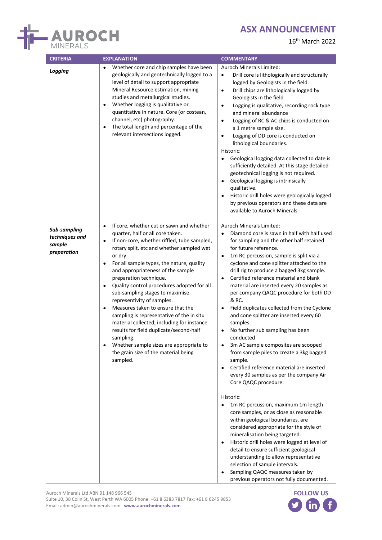

16th March 2022

| <b>CRITERIA</b>                                         | <b>EXPLANATION</b>                                                                                                                                                                                                                                                                                                                                                                                                                                                                                                                                                                                                                                                                                                                                                     | <b>COMMENTARY</b>                                                                                                                                                                                                                                                                                                                                                                                                                                                                                                                                                                                                                                                                                                                                                                                                                                   |
|---------------------------------------------------------|------------------------------------------------------------------------------------------------------------------------------------------------------------------------------------------------------------------------------------------------------------------------------------------------------------------------------------------------------------------------------------------------------------------------------------------------------------------------------------------------------------------------------------------------------------------------------------------------------------------------------------------------------------------------------------------------------------------------------------------------------------------------|-----------------------------------------------------------------------------------------------------------------------------------------------------------------------------------------------------------------------------------------------------------------------------------------------------------------------------------------------------------------------------------------------------------------------------------------------------------------------------------------------------------------------------------------------------------------------------------------------------------------------------------------------------------------------------------------------------------------------------------------------------------------------------------------------------------------------------------------------------|
| Logging                                                 | Whether core and chip samples have been<br>geologically and geotechnically logged to a<br>level of detail to support appropriate<br>Mineral Resource estimation, mining<br>studies and metallurgical studies.<br>Whether logging is qualitative or<br>٠<br>quantitative in nature. Core (or costean,<br>channel, etc) photography.<br>The total length and percentage of the<br>$\bullet$<br>relevant intersections logged.                                                                                                                                                                                                                                                                                                                                            | Auroch Minerals Limited:<br>Drill core is lithologically and structurally<br>$\bullet$<br>logged by Geologists in the field.<br>Drill chips are lithologically logged by<br>$\bullet$<br>Geologists in the field<br>Logging is qualitative, recording rock type<br>$\bullet$<br>and mineral abundance<br>Logging of RC & AC chips is conducted on<br>$\bullet$<br>a 1 metre sample size.<br>Logging of DD core is conducted on<br>$\bullet$<br>lithological boundaries.<br>Historic:<br>Geological logging data collected to date is<br>sufficiently detailed. At this stage detailed<br>geotechnical logging is not required.<br>Geological logging is intrinsically<br>qualitative.<br>Historic drill holes were geologically logged<br>by previous operators and these data are<br>available to Auroch Minerals.                                 |
| Sub-sampling<br>techniques and<br>sample<br>preparation | If core, whether cut or sawn and whether<br>$\bullet$<br>quarter, half or all core taken.<br>If non-core, whether riffled, tube sampled,<br>$\bullet$<br>rotary split, etc and whether sampled wet<br>or dry.<br>For all sample types, the nature, quality<br>$\bullet$<br>and appropriateness of the sample<br>preparation technique.<br>Quality control procedures adopted for all<br>$\bullet$<br>sub-sampling stages to maximise<br>representivity of samples.<br>Measures taken to ensure that the<br>$\bullet$<br>sampling is representative of the in situ<br>material collected, including for instance<br>results for field duplicate/second-half<br>sampling.<br>Whether sample sizes are appropriate to<br>the grain size of the material being<br>sampled. | Auroch Minerals Limited:<br>Diamond core is sawn in half with half used<br>$\bullet$<br>for sampling and the other half retained<br>for future reference.<br>1m RC percussion, sample is split via a<br>$\bullet$<br>cyclone and cone splitter attached to the<br>drill rig to produce a bagged 3kg sample.<br>Certified reference material and blank<br>$\bullet$<br>material are inserted every 20 samples as<br>per company QAQC procedure for both DD<br>& RC.<br>Field duplicates collected from the Cyclone<br>and cone splitter are inserted every 60<br>samples<br>No further sub sampling has been<br>conducted<br>3m AC sample composites are scooped<br>from sample piles to create a 3kg bagged<br>sample.<br>Certified reference material are inserted<br>$\bullet$<br>every 30 samples as per the company Air<br>Core QAQC procedure. |
|                                                         |                                                                                                                                                                                                                                                                                                                                                                                                                                                                                                                                                                                                                                                                                                                                                                        | Historic:<br>1m RC percussion, maximum 1m length<br>core samples, or as close as reasonable<br>within geological boundaries, are<br>considered appropriate for the style of<br>mineralisation being targeted.<br>Historic drill holes were logged at level of<br>detail to ensure sufficient geological<br>understanding to allow representative<br>selection of sample intervals.<br>Sampling QAQC measures taken by<br>$\bullet$<br>previous operators not fully documented.                                                                                                                                                                                                                                                                                                                                                                      |

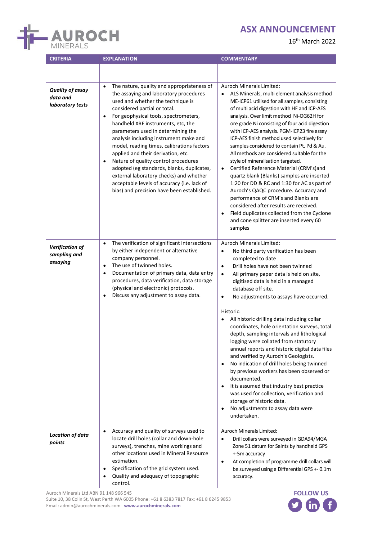

16th March 2022

| <b>CRITERIA</b>                                         | <b>EXPLANATION</b>                                                                                                                                                                                                                                                                                                                                                                                                                                                                                                                                                                                                                                                                | <b>COMMENTARY</b>                                                                                                                                                                                                                                                                                                                                                                                                                                                                                                                                                                                                                                                                                                                                                                                                                                                                                                                                        |
|---------------------------------------------------------|-----------------------------------------------------------------------------------------------------------------------------------------------------------------------------------------------------------------------------------------------------------------------------------------------------------------------------------------------------------------------------------------------------------------------------------------------------------------------------------------------------------------------------------------------------------------------------------------------------------------------------------------------------------------------------------|----------------------------------------------------------------------------------------------------------------------------------------------------------------------------------------------------------------------------------------------------------------------------------------------------------------------------------------------------------------------------------------------------------------------------------------------------------------------------------------------------------------------------------------------------------------------------------------------------------------------------------------------------------------------------------------------------------------------------------------------------------------------------------------------------------------------------------------------------------------------------------------------------------------------------------------------------------|
| <b>Quality of assay</b><br>data and<br>laboratory tests | The nature, quality and appropriateness of<br>$\bullet$<br>the assaying and laboratory procedures<br>used and whether the technique is<br>considered partial or total.<br>For geophysical tools, spectrometers,<br>$\bullet$<br>handheld XRF instruments, etc, the<br>parameters used in determining the<br>analysis including instrument make and<br>model, reading times, calibrations factors<br>applied and their derivation, etc.<br>Nature of quality control procedures<br>$\bullet$<br>adopted (eg standards, blanks, duplicates,<br>external laboratory checks) and whether<br>acceptable levels of accuracy (i.e. lack of<br>bias) and precision have been established. | Auroch Minerals Limited:<br>ALS Minerals, multi element analysis method<br>$\bullet$<br>ME-ICP61 utilised for all samples, consisting<br>of multi acid digestion with HF and ICP-AES<br>analysis. Over limit method Ni-OG62H for<br>ore grade Ni consisting of four acid digestion<br>with ICP-AES analysis. PGM-ICP23 fire assay<br>ICP-AES finish method used selectively for<br>samples considered to contain Pt, Pd & Au.<br>All methods are considered suitable for the<br>style of mineralisation targeted.<br>Certified Reference Material (CRM's)and<br>$\bullet$<br>quartz blank (Blanks) samples are inserted<br>1:20 for DD & RC and 1:30 for AC as part of<br>Auroch's QAQC procedure. Accuracy and<br>performance of CRM's and Blanks are<br>considered after results are received.<br>Field duplicates collected from the Cyclone<br>$\bullet$<br>and cone splitter are inserted every 60<br>samples                                       |
| <b>Verification of</b><br>sampling and<br>assaying      | The verification of significant intersections<br>$\bullet$<br>by either independent or alternative<br>company personnel.<br>The use of twinned holes.<br>$\bullet$<br>Documentation of primary data, data entry<br>٠<br>procedures, data verification, data storage<br>(physical and electronic) protocols.<br>Discuss any adjustment to assay data.<br>$\bullet$                                                                                                                                                                                                                                                                                                                 | Auroch Minerals Limited:<br>No third party verification has been<br>$\bullet$<br>completed to date<br>Drill holes have not been twinned<br>$\bullet$<br>All primary paper data is held on site,<br>$\bullet$<br>digitised data is held in a managed<br>database off site.<br>No adjustments to assays have occurred.<br>$\bullet$<br>Historic:<br>All historic drilling data including collar<br>coordinates, hole orientation surveys, total<br>depth, sampling intervals and lithological<br>logging were collated from statutory<br>annual reports and historic digital data files<br>and verified by Auroch's Geologists.<br>No indication of drill holes being twinned<br>$\bullet$<br>by previous workers has been observed or<br>documented.<br>It is assumed that industry best practice<br>$\bullet$<br>was used for collection, verification and<br>storage of historic data.<br>No adjustments to assay data were<br>$\bullet$<br>undertaken. |
| <b>Location of data</b><br>points                       | Accuracy and quality of surveys used to<br>$\bullet$<br>locate drill holes (collar and down-hole<br>surveys), trenches, mine workings and<br>other locations used in Mineral Resource<br>estimation.<br>Specification of the grid system used.<br>$\bullet$<br>Quality and adequacy of topographic<br>$\bullet$<br>control.                                                                                                                                                                                                                                                                                                                                                       | Auroch Minerals Limited:<br>Drill collars were surveyed in GDA94/MGA<br>$\bullet$<br>Zone 51 datum for Saints by handheld GPS<br>+-5m accuracy<br>At completion of programme drill collars will<br>$\bullet$<br>be surveyed using a Differential GPS +- 0.1m<br>accuracy.                                                                                                                                                                                                                                                                                                                                                                                                                                                                                                                                                                                                                                                                                |

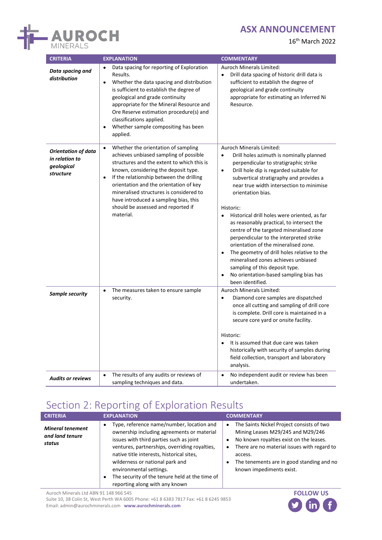

16th March 2022

| <b>CRITERIA</b>                                                         | <b>EXPLANATION</b>                                                                                                                                                                                                                                                                                                                                                                                            | <b>COMMENTARY</b>                                                                                                                                                                                                                                                                                                                                                                                                                                                                                                                                                                                                                                                                                                                                                   |
|-------------------------------------------------------------------------|---------------------------------------------------------------------------------------------------------------------------------------------------------------------------------------------------------------------------------------------------------------------------------------------------------------------------------------------------------------------------------------------------------------|---------------------------------------------------------------------------------------------------------------------------------------------------------------------------------------------------------------------------------------------------------------------------------------------------------------------------------------------------------------------------------------------------------------------------------------------------------------------------------------------------------------------------------------------------------------------------------------------------------------------------------------------------------------------------------------------------------------------------------------------------------------------|
| Data spacing and<br>distribution                                        | Data spacing for reporting of Exploration<br>Results.<br>Whether the data spacing and distribution<br>$\bullet$<br>is sufficient to establish the degree of<br>geological and grade continuity<br>appropriate for the Mineral Resource and<br>Ore Reserve estimation procedure(s) and<br>classifications applied.<br>Whether sample compositing has been<br>$\bullet$<br>applied.                             | Auroch Minerals Limited:<br>Drill data spacing of historic drill data is<br>$\bullet$<br>sufficient to establish the degree of<br>geological and grade continuity<br>appropriate for estimating an Inferred Ni<br>Resource.                                                                                                                                                                                                                                                                                                                                                                                                                                                                                                                                         |
| <b>Orientation of data</b><br>in relation to<br>geological<br>structure | Whether the orientation of sampling<br>$\bullet$<br>achieves unbiased sampling of possible<br>structures and the extent to which this is<br>known, considering the deposit type.<br>If the relationship between the drilling<br>orientation and the orientation of key<br>mineralised structures is considered to<br>have introduced a sampling bias, this<br>should be assessed and reported if<br>material. | Auroch Minerals Limited:<br>Drill holes azimuth is nominally planned<br>$\bullet$<br>perpendicular to stratigraphic strike<br>$\bullet$<br>Drill hole dip is regarded suitable for<br>subvertical stratigraphy and provides a<br>near true width intersection to minimise<br>orientation bias.<br>Historic:<br>Historical drill holes were oriented, as far<br>$\bullet$<br>as reasonably practical, to intersect the<br>centre of the targeted mineralised zone<br>perpendicular to the interpreted strike<br>orientation of the mineralised zone.<br>The geometry of drill holes relative to the<br>$\bullet$<br>mineralised zones achieves unbiased<br>sampling of this deposit type.<br>No orientation-based sampling bias has<br>$\bullet$<br>been identified. |
| <b>Sample security</b>                                                  | The measures taken to ensure sample<br>$\bullet$<br>security.                                                                                                                                                                                                                                                                                                                                                 | <b>Auroch Minerals Limited:</b><br>Diamond core samples are dispatched<br>$\bullet$<br>once all cutting and sampling of drill core<br>is complete. Drill core is maintained in a<br>secure core yard or onsite facility.<br>Historic:<br>It is assumed that due care was taken<br>$\bullet$<br>historically with security of samples during<br>field collection, transport and laboratory<br>analysis.                                                                                                                                                                                                                                                                                                                                                              |
| <b>Audits or reviews</b>                                                | The results of any audits or reviews of<br>$\bullet$<br>sampling techniques and data.                                                                                                                                                                                                                                                                                                                         | No independent audit or review has been<br>$\bullet$<br>undertaken.                                                                                                                                                                                                                                                                                                                                                                                                                                                                                                                                                                                                                                                                                                 |

# Section 2: Reporting of Exploration Results

| <b>CRITERIA</b>                                      | <b>EXPLANATION</b>                                                                                                                                                                                                                                                                                                                                                                                           | <b>COMMENTARY</b>                                                                                                                                                                                                                                                                                   |
|------------------------------------------------------|--------------------------------------------------------------------------------------------------------------------------------------------------------------------------------------------------------------------------------------------------------------------------------------------------------------------------------------------------------------------------------------------------------------|-----------------------------------------------------------------------------------------------------------------------------------------------------------------------------------------------------------------------------------------------------------------------------------------------------|
| <b>Mineral tenement</b><br>and land tenure<br>status | Type, reference name/number, location and<br>$\bullet$<br>ownership including agreements or material<br>issues with third parties such as joint<br>ventures, partnerships, overriding royalties,<br>native title interests, historical sites,<br>wilderness or national park and<br>environmental settings.<br>The security of the tenure held at the time of<br>$\bullet$<br>reporting along with any known | The Saints Nickel Project consists of two<br>$\bullet$<br>Mining Leases M29/245 and M29/246<br>No known royalties exist on the leases.<br>There are no material issues with regard to<br>$\bullet$<br>access.<br>The tenements are in good standing and no<br>$\bullet$<br>known impediments exist. |

Auroch Minerals Ltd ABN 91 148 966 545

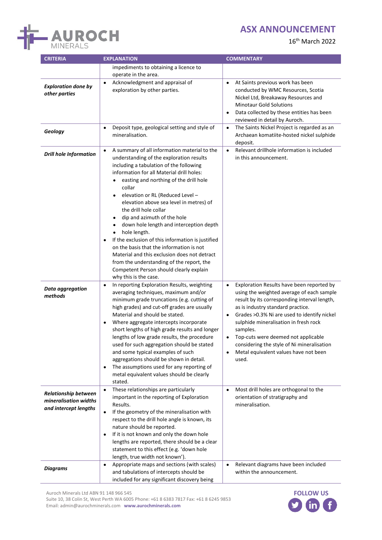

16th March 2022

| <b>CRITERIA</b>                                                               | <b>EXPLANATION</b>                                                                                                                                                                                                                                                                                                                                                                                                                                                                                                                                                                                                                                                                                                                                   | <b>COMMENTARY</b>                                                                                                                                                                                                                                                                                                                                                                                                                                 |  |
|-------------------------------------------------------------------------------|------------------------------------------------------------------------------------------------------------------------------------------------------------------------------------------------------------------------------------------------------------------------------------------------------------------------------------------------------------------------------------------------------------------------------------------------------------------------------------------------------------------------------------------------------------------------------------------------------------------------------------------------------------------------------------------------------------------------------------------------------|---------------------------------------------------------------------------------------------------------------------------------------------------------------------------------------------------------------------------------------------------------------------------------------------------------------------------------------------------------------------------------------------------------------------------------------------------|--|
|                                                                               | impediments to obtaining a licence to<br>operate in the area.<br>Acknowledgment and appraisal of                                                                                                                                                                                                                                                                                                                                                                                                                                                                                                                                                                                                                                                     |                                                                                                                                                                                                                                                                                                                                                                                                                                                   |  |
| <b>Exploration done by</b><br>other parties                                   | $\bullet$<br>exploration by other parties.                                                                                                                                                                                                                                                                                                                                                                                                                                                                                                                                                                                                                                                                                                           | At Saints previous work has been<br>$\bullet$<br>conducted by WMC Resources, Scotia<br>Nickel Ltd, Breakaway Resources and<br><b>Minotaur Gold Solutions</b><br>Data collected by these entities has been<br>reviewed in detail by Auroch.                                                                                                                                                                                                        |  |
| Geology                                                                       | Deposit type, geological setting and style of<br>$\bullet$<br>mineralisation.                                                                                                                                                                                                                                                                                                                                                                                                                                                                                                                                                                                                                                                                        | The Saints Nickel Project is regarded as an<br>$\bullet$<br>Archaean komatiite-hosted nickel sulphide<br>deposit.                                                                                                                                                                                                                                                                                                                                 |  |
| <b>Drill hole Information</b>                                                 | A summary of all information material to the<br>$\bullet$<br>understanding of the exploration results<br>including a tabulation of the following<br>information for all Material drill holes:<br>easting and northing of the drill hole<br>$\bullet$<br>collar<br>elevation or RL (Reduced Level -<br>elevation above sea level in metres) of<br>the drill hole collar<br>dip and azimuth of the hole<br>٠<br>down hole length and interception depth<br>hole length.<br>If the exclusion of this information is justified<br>$\bullet$<br>on the basis that the information is not<br>Material and this exclusion does not detract<br>from the understanding of the report, the<br>Competent Person should clearly explain<br>why this is the case. | Relevant drillhole information is included<br>$\bullet$<br>in this announcement.                                                                                                                                                                                                                                                                                                                                                                  |  |
| Data aggregation<br>methods                                                   | In reporting Exploration Results, weighting<br>$\bullet$<br>averaging techniques, maximum and/or<br>minimum grade truncations (e.g. cutting of<br>high grades) and cut-off grades are usually<br>Material and should be stated.<br>Where aggregate intercepts incorporate<br>$\bullet$<br>short lengths of high grade results and longer<br>lengths of low grade results, the procedure<br>used for such aggregation should be stated<br>and some typical examples of such<br>aggregations should be shown in detail.<br>The assumptions used for any reporting of<br>٠<br>metal equivalent values should be clearly<br>stated.                                                                                                                      | Exploration Results have been reported by<br>$\bullet$<br>using the weighted average of each sample<br>result by its corresponding interval length,<br>as is industry standard practice.<br>Grades > 0.3% Ni are used to identify nickel<br>$\bullet$<br>sulphide mineralisation in fresh rock<br>samples.<br>Top-cuts were deemed not applicable<br>considering the style of Ni mineralisation<br>Metal equivalent values have not been<br>used. |  |
| <b>Relationship between</b><br>mineralisation widths<br>and intercept lengths | These relationships are particularly<br>$\bullet$<br>important in the reporting of Exploration<br>Results.<br>If the geometry of the mineralisation with<br>$\bullet$<br>respect to the drill hole angle is known, its<br>nature should be reported.<br>If it is not known and only the down hole<br>$\bullet$<br>lengths are reported, there should be a clear<br>statement to this effect (e.g. 'down hole<br>length, true width not known').                                                                                                                                                                                                                                                                                                      | Most drill holes are orthogonal to the<br>$\bullet$<br>orientation of stratigraphy and<br>mineralisation.                                                                                                                                                                                                                                                                                                                                         |  |
| <b>Diagrams</b>                                                               | Appropriate maps and sections (with scales)<br>$\bullet$<br>and tabulations of intercepts should be<br>included for any significant discovery being                                                                                                                                                                                                                                                                                                                                                                                                                                                                                                                                                                                                  | Relevant diagrams have been included<br>$\bullet$<br>within the announcement.                                                                                                                                                                                                                                                                                                                                                                     |  |